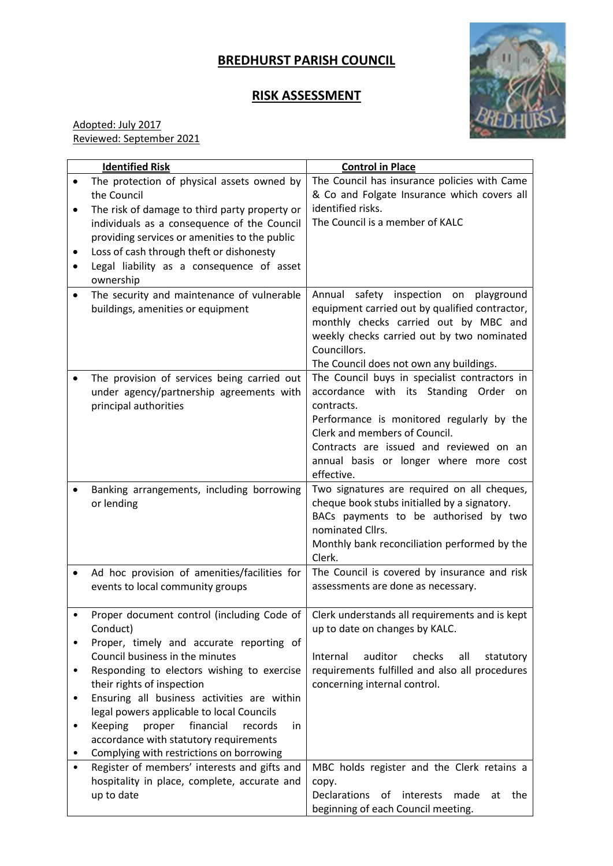## **BREDHURST PARISH COUNCIL**

## **RISK ASSESSMENT**



Adopted: July 2017 Reviewed: September 2021

| <b>Identified Risk</b> |                                                        | <b>Control in Place</b>                                     |
|------------------------|--------------------------------------------------------|-------------------------------------------------------------|
|                        | The protection of physical assets owned by             | The Council has insurance policies with Came                |
|                        | the Council                                            | & Co and Folgate Insurance which covers all                 |
| ٠                      | The risk of damage to third party property or          | identified risks.                                           |
|                        | individuals as a consequence of the Council            | The Council is a member of KALC                             |
|                        | providing services or amenities to the public          |                                                             |
|                        | Loss of cash through theft or dishonesty               |                                                             |
|                        | Legal liability as a consequence of asset              |                                                             |
|                        | ownership                                              |                                                             |
|                        | The security and maintenance of vulnerable             | Annual safety inspection<br>on<br>playground                |
|                        | buildings, amenities or equipment                      | equipment carried out by qualified contractor,              |
|                        |                                                        | monthly checks carried out by MBC and                       |
|                        |                                                        | weekly checks carried out by two nominated                  |
|                        |                                                        | Councillors.                                                |
|                        |                                                        | The Council does not own any buildings.                     |
|                        | The provision of services being carried out            | The Council buys in specialist contractors in               |
|                        | under agency/partnership agreements with               | accordance with its Standing Order<br>on.                   |
|                        | principal authorities                                  | contracts.                                                  |
|                        |                                                        | Performance is monitored regularly by the                   |
|                        |                                                        | Clerk and members of Council.                               |
|                        |                                                        | Contracts are issued and reviewed on an                     |
|                        |                                                        | annual basis or longer where more cost                      |
|                        |                                                        | effective.                                                  |
|                        | Banking arrangements, including borrowing              | Two signatures are required on all cheques,                 |
|                        | or lending                                             | cheque book stubs initialled by a signatory.                |
|                        |                                                        | BACs payments to be authorised by two                       |
|                        |                                                        | nominated Cllrs.                                            |
|                        |                                                        | Monthly bank reconciliation performed by the<br>Clerk.      |
|                        | Ad hoc provision of amenities/facilities for           | The Council is covered by insurance and risk                |
|                        | events to local community groups                       | assessments are done as necessary.                          |
|                        |                                                        |                                                             |
|                        | Proper document control (including Code of             | Clerk understands all requirements and is kept              |
|                        | Conduct)                                               | up to date on changes by KALC.                              |
|                        | Proper, timely and accurate reporting of               |                                                             |
|                        | Council business in the minutes                        | Internal<br>auditor<br>checks<br>all<br>statutory           |
|                        | Responding to electors wishing to exercise             | requirements fulfilled and also all procedures              |
|                        | their rights of inspection                             | concerning internal control.                                |
| ٠                      | Ensuring all business activities are within            |                                                             |
|                        | legal powers applicable to local Councils              |                                                             |
| ٠                      | financial<br><b>Keeping</b><br>records<br>proper<br>in |                                                             |
|                        | accordance with statutory requirements                 |                                                             |
|                        | Complying with restrictions on borrowing               |                                                             |
|                        | Register of members' interests and gifts and           | MBC holds register and the Clerk retains a                  |
|                        | hospitality in place, complete, accurate and           | copy.                                                       |
|                        | up to date                                             | <b>Declarations</b><br>interests<br>made<br>the<br>0f<br>at |
|                        |                                                        | beginning of each Council meeting.                          |